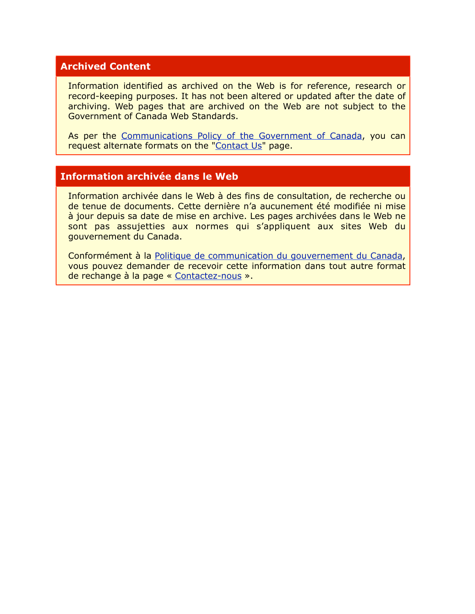# **Archived Content**

Information identified as archived on the Web is for reference, research or record-keeping purposes. It has not been altered or updated after the date of archiving. Web pages that are archived on the Web are not subject to the Government of Canada Web Standards.

As per the Communications Policy of the Government of Canada, you can request alternate formats on the "Contact Us" page.

# **Information archivée dans le Web**

Information archivée dans le Web à des fins de consultation, de recherche ou de tenue de documents. Cette dernière n'a aucunement été modifiée ni mise à jour depuis sa date de mise en archive. Les pages archivées dans le Web ne sont pas assujetties aux normes qui s'appliquent aux sites Web du gouvernement du Canada.

Conformément à la Politique de communication du gouvernement du Canada, vous pouvez demander de recevoir cette information dans tout autre format de rechange à la page « Contactez-nous ».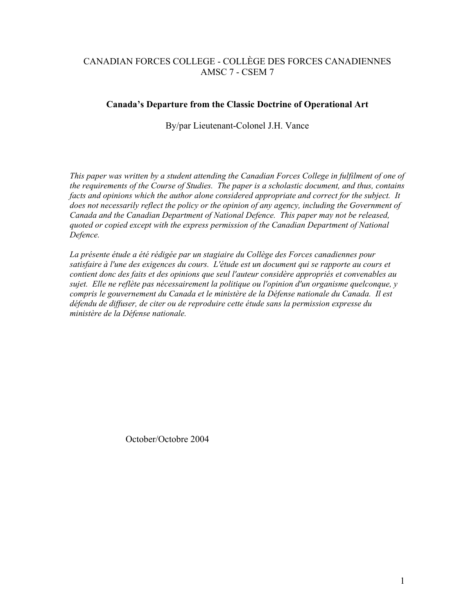# CANADIAN FORCES COLLEGE - COLLÈGE DES FORCES CANADIENNES AMSC 7 - CSEM 7

# **Canada's Departure from the Classic Doctrine of Operational Art**

By/par Lieutenant-Colonel J.H. Vance

*This paper was written by a student attending the Canadian Forces College in fulfilment of one of the requirements of the Course of Studies. The paper is a scholastic document, and thus, contains facts and opinions which the author alone considered appropriate and correct for the subject. It does not necessarily reflect the policy or the opinion of any agency, including the Government of Canada and the Canadian Department of National Defence. This paper may not be released, quoted or copied except with the express permission of the Canadian Department of National Defence.* 

*La présente étude a été rédigée par un stagiaire du Collège des Forces canadiennes pour*  satisfaire à l'une des exigences du cours. L'étude est un document qui se rapporte au cours et *contient donc des faits et des opinions que seul l'auteur considère appropriés et convenables au sujet. Elle ne reflète pas nécessairement la politique ou l'opinion d'un organisme quelconque, y compris le gouvernement du Canada et le ministère de la Défense nationale du Canada. Il est défendu de diffuser, de citer ou de reproduire cette étude sans la permission expresse du ministère de la Défense nationale.* 

October/Octobre 2004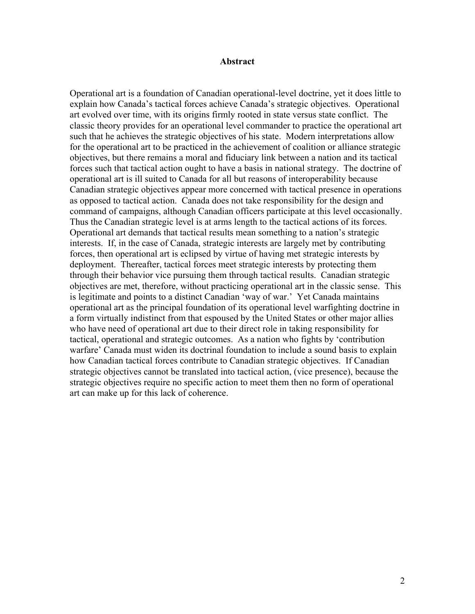### **Abstract**

Operational art is a foundation of Canadian operational-level doctrine, yet it does little to explain how Canada's tactical forces achieve Canada's strategic objectives. Operational art evolved over time, with its origins firmly rooted in state versus state conflict. The classic theory provides for an operational level commander to practice the operational art such that he achieves the strategic objectives of his state. Modern interpretations allow for the operational art to be practiced in the achievement of coalition or alliance strategic objectives, but there remains a moral and fiduciary link between a nation and its tactical forces such that tactical action ought to have a basis in national strategy. The doctrine of operational art is ill suited to Canada for all but reasons of interoperability because Canadian strategic objectives appear more concerned with tactical presence in operations as opposed to tactical action. Canada does not take responsibility for the design and command of campaigns, although Canadian officers participate at this level occasionally. Thus the Canadian strategic level is at arms length to the tactical actions of its forces. Operational art demands that tactical results mean something to a nation's strategic interests. If, in the case of Canada, strategic interests are largely met by contributing forces, then operational art is eclipsed by virtue of having met strategic interests by deployment. Thereafter, tactical forces meet strategic interests by protecting them through their behavior vice pursuing them through tactical results. Canadian strategic objectives are met, therefore, without practicing operational art in the classic sense. This is legitimate and points to a distinct Canadian 'way of war.' Yet Canada maintains operational art as the principal foundation of its operational level warfighting doctrine in a form virtually indistinct from that espoused by the United States or other major allies who have need of operational art due to their direct role in taking responsibility for tactical, operational and strategic outcomes. As a nation who fights by 'contribution warfare' Canada must widen its doctrinal foundation to include a sound basis to explain how Canadian tactical forces contribute to Canadian strategic objectives. If Canadian strategic objectives cannot be translated into tactical action, (vice presence), because the strategic objectives require no specific action to meet them then no form of operational art can make up for this lack of coherence.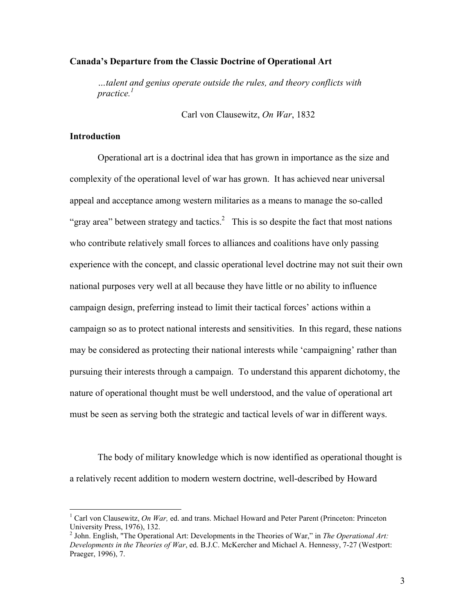#### **Canada's Departure from the Classic Doctrine of Operational Art**

*…talent and genius operate outside the rules, and theory conflicts with practice.1*

Carl von Clausewitz, *On War*, 1832

# **Introduction**

Operational art is a doctrinal idea that has grown in importance as the size and complexity of the operational level of war has grown. It has achieved near universal appeal and acceptance among western militaries as a means to manage the so-called "gray area" between strategy and tactics.<sup>2</sup> This is so despite the fact that most nations who contribute relatively small forces to alliances and coalitions have only passing experience with the concept, and classic operational level doctrine may not suit their own national purposes very well at all because they have little or no ability to influence campaign design, preferring instead to limit their tactical forces' actions within a campaign so as to protect national interests and sensitivities. In this regard, these nations may be considered as protecting their national interests while 'campaigning' rather than pursuing their interests through a campaign. To understand this apparent dichotomy, the nature of operational thought must be well understood, and the value of operational art must be seen as serving both the strategic and tactical levels of war in different ways.

The body of military knowledge which is now identified as operational thought is a relatively recent addition to modern western doctrine, well-described by Howard

 $\frac{1}{1}$ <sup>1</sup> Carl von Clausewitz, *On War*, ed. and trans. Michael Howard and Peter Parent (Princeton: Princeton University Press, 1976), 132. 2

<sup>&</sup>lt;sup>2</sup> John. English, "The Operational Art: Developments in the Theories of War," in *The Operational Art: Developments in the Theories of War*, ed. B.J.C. McKercher and Michael A. Hennessy, 7-27 (Westport: Praeger, 1996), 7.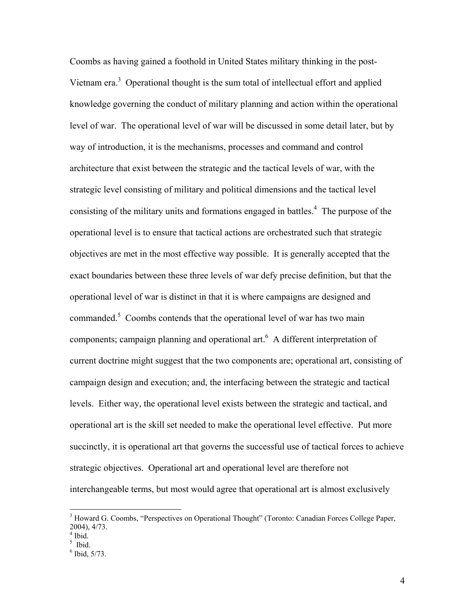Coombs as having gained a foothold in United States military thinking in the post-Vietnam era. $3$  Operational thought is the sum total of intellectual effort and applied knowledge governing the conduct of military planning and action within the operational level of war. The operational level of war will be discussed in some detail later, but by way of introduction, it is the mechanisms, processes and command and control architecture that exist between the strategic and the tactical levels of war, with the strategic level consisting of military and political dimensions and the tactical level consisting of the military units and formations engaged in battles.<sup>4</sup> The purpose of the operational level is to ensure that tactical actions are orchestrated such that strategic objectives are met in the most effective way possible. It is generally accepted that the exact boundaries between these three levels of war defy precise definition, but that the operational level of war is distinct in that it is where campaigns are designed and commanded. $5$  Coombs contends that the operational level of war has two main components; campaign planning and operational art. $<sup>6</sup>$  A different interpretation of</sup> current doctrine might suggest that the two components are; operational art, consisting of campaign design and execution; and, the interfacing between the strategic and tactical levels. Either way, the operational level exists between the strategic and tactical, and operational art is the skill set needed to make the operational level effective. Put more succinctly, it is operational art that governs the successful use of tactical forces to achieve strategic objectives. Operational art and operational level are therefore not interchangeable terms, but most would agree that operational art is almost exclusively

 $\frac{1}{3}$ <sup>3</sup> Howard G. Coombs, "Perspectives on Operational Thought" (Toronto: Canadian Forces College Paper, 2004), 4/73.

 $4$  Ibid.

<sup>5</sup> Ibid.

 $6$  Ibid,  $5/73$ .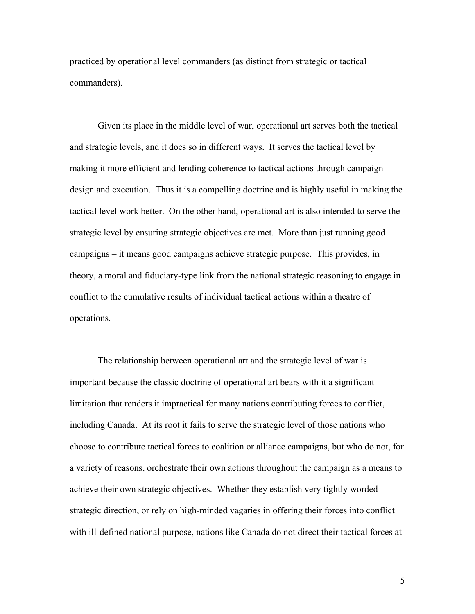practiced by operational level commanders (as distinct from strategic or tactical commanders).

Given its place in the middle level of war, operational art serves both the tactical and strategic levels, and it does so in different ways. It serves the tactical level by making it more efficient and lending coherence to tactical actions through campaign design and execution. Thus it is a compelling doctrine and is highly useful in making the tactical level work better. On the other hand, operational art is also intended to serve the strategic level by ensuring strategic objectives are met. More than just running good campaigns – it means good campaigns achieve strategic purpose. This provides, in theory, a moral and fiduciary-type link from the national strategic reasoning to engage in conflict to the cumulative results of individual tactical actions within a theatre of operations.

The relationship between operational art and the strategic level of war is important because the classic doctrine of operational art bears with it a significant limitation that renders it impractical for many nations contributing forces to conflict, including Canada. At its root it fails to serve the strategic level of those nations who choose to contribute tactical forces to coalition or alliance campaigns, but who do not, for a variety of reasons, orchestrate their own actions throughout the campaign as a means to achieve their own strategic objectives. Whether they establish very tightly worded strategic direction, or rely on high-minded vagaries in offering their forces into conflict with ill-defined national purpose, nations like Canada do not direct their tactical forces at

5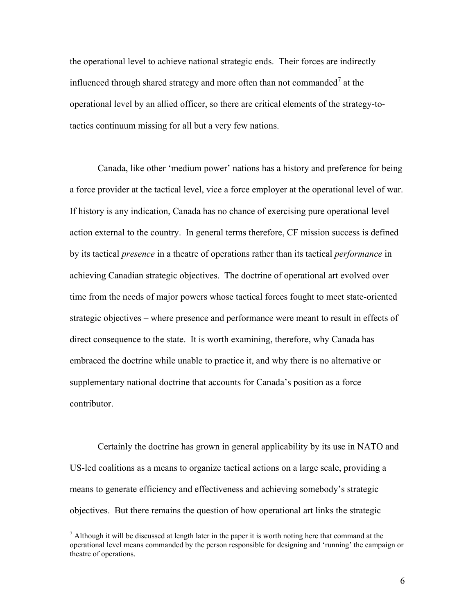the operational level to achieve national strategic ends. Their forces are indirectly influenced through shared strategy and more often than not commanded<sup>7</sup> at the operational level by an allied officer, so there are critical elements of the strategy-totactics continuum missing for all but a very few nations.

Canada, like other 'medium power' nations has a history and preference for being a force provider at the tactical level, vice a force employer at the operational level of war. If history is any indication, Canada has no chance of exercising pure operational level action external to the country. In general terms therefore, CF mission success is defined by its tactical *presence* in a theatre of operations rather than its tactical *performance* in achieving Canadian strategic objectives. The doctrine of operational art evolved over time from the needs of major powers whose tactical forces fought to meet state-oriented strategic objectives – where presence and performance were meant to result in effects of direct consequence to the state. It is worth examining, therefore, why Canada has embraced the doctrine while unable to practice it, and why there is no alternative or supplementary national doctrine that accounts for Canada's position as a force contributor.

Certainly the doctrine has grown in general applicability by its use in NATO and US-led coalitions as a means to organize tactical actions on a large scale, providing a means to generate efficiency and effectiveness and achieving somebody's strategic objectives. But there remains the question of how operational art links the strategic

<sup>-&</sup>lt;br>7 <sup>7</sup> Although it will be discussed at length later in the paper it is worth noting here that command at the operational level means commanded by the person responsible for designing and 'running' the campaign or theatre of operations.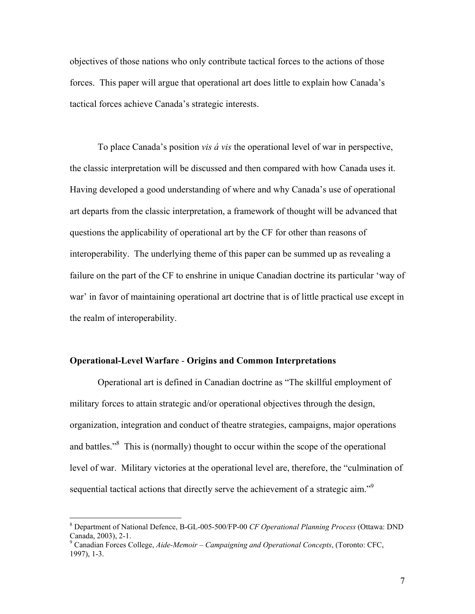objectives of those nations who only contribute tactical forces to the actions of those forces. This paper will argue that operational art does little to explain how Canada's tactical forces achieve Canada's strategic interests.

To place Canada's position *vis á vis* the operational level of war in perspective, the classic interpretation will be discussed and then compared with how Canada uses it. Having developed a good understanding of where and why Canada's use of operational art departs from the classic interpretation, a framework of thought will be advanced that questions the applicability of operational art by the CF for other than reasons of interoperability. The underlying theme of this paper can be summed up as revealing a failure on the part of the CF to enshrine in unique Canadian doctrine its particular 'way of war' in favor of maintaining operational art doctrine that is of little practical use except in the realm of interoperability.

#### **Operational-Level Warfare** - **Origins and Common Interpretations**

Operational art is defined in Canadian doctrine as "The skillful employment of military forces to attain strategic and/or operational objectives through the design, organization, integration and conduct of theatre strategies, campaigns, major operations and battles."<sup>8</sup> This is (normally) thought to occur within the scope of the operational level of war. Military victories at the operational level are, therefore, the "culmination of sequential tactical actions that directly serve the achievement of a strategic aim."<sup>9</sup>

 $\frac{1}{8}$  Department of National Defence, B-GL-005-500/FP-00 *CF Operational Planning Process* (Ottawa: DND Canada, 2003), 2-1.

Canadian Forces College, *Aide-Memoir – Campaigning and Operational Concepts*, (Toronto: CFC, 1997), 1-3.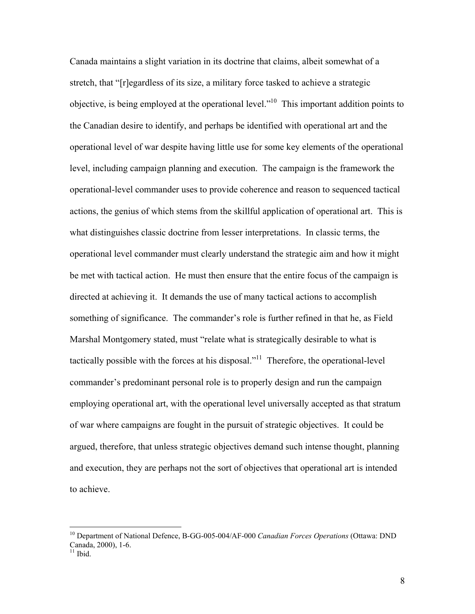Canada maintains a slight variation in its doctrine that claims, albeit somewhat of a stretch, that "[r]egardless of its size, a military force tasked to achieve a strategic objective, is being employed at the operational level."10 This important addition points to the Canadian desire to identify, and perhaps be identified with operational art and the operational level of war despite having little use for some key elements of the operational level, including campaign planning and execution. The campaign is the framework the operational-level commander uses to provide coherence and reason to sequenced tactical actions, the genius of which stems from the skillful application of operational art. This is what distinguishes classic doctrine from lesser interpretations. In classic terms, the operational level commander must clearly understand the strategic aim and how it might be met with tactical action. He must then ensure that the entire focus of the campaign is directed at achieving it. It demands the use of many tactical actions to accomplish something of significance. The commander's role is further refined in that he, as Field Marshal Montgomery stated, must "relate what is strategically desirable to what is tactically possible with the forces at his disposal. $1<sup>11</sup>$  Therefore, the operational-level commander's predominant personal role is to properly design and run the campaign employing operational art, with the operational level universally accepted as that stratum of war where campaigns are fought in the pursuit of strategic objectives. It could be argued, therefore, that unless strategic objectives demand such intense thought, planning and execution, they are perhaps not the sort of objectives that operational art is intended to achieve.

 <sup>10</sup> Department of National Defence, B-GG-005-004/AF-000 *Canadian Forces Operations* (Ottawa: DND Canada, 2000), 1-6.<br><sup>11</sup> Ibid.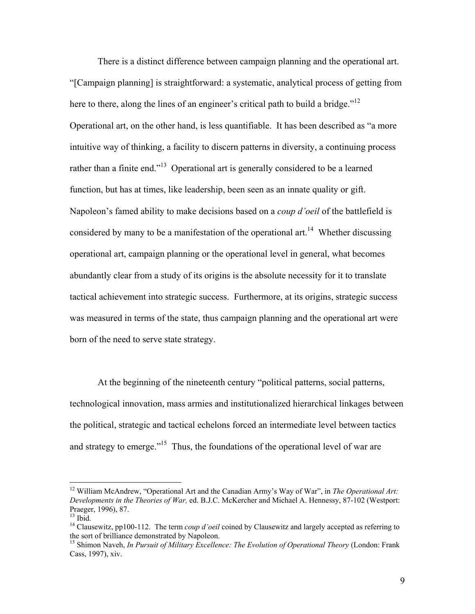There is a distinct difference between campaign planning and the operational art. "[Campaign planning] is straightforward: a systematic, analytical process of getting from here to there, along the lines of an engineer's critical path to build a bridge." $12$ Operational art, on the other hand, is less quantifiable. It has been described as "a more intuitive way of thinking, a facility to discern patterns in diversity, a continuing process rather than a finite end."<sup>13</sup> Operational art is generally considered to be a learned function, but has at times, like leadership, been seen as an innate quality or gift. Napoleon's famed ability to make decisions based on a *coup d'oeil* of the battlefield is considered by many to be a manifestation of the operational art.<sup>14</sup> Whether discussing operational art, campaign planning or the operational level in general, what becomes abundantly clear from a study of its origins is the absolute necessity for it to translate tactical achievement into strategic success. Furthermore, at its origins, strategic success was measured in terms of the state, thus campaign planning and the operational art were born of the need to serve state strategy.

At the beginning of the nineteenth century "political patterns, social patterns, technological innovation, mass armies and institutionalized hierarchical linkages between the political, strategic and tactical echelons forced an intermediate level between tactics and strategy to emerge."<sup>15</sup> Thus, the foundations of the operational level of war are

 <sup>12</sup> William McAndrew, "Operational Art and the Canadian Army's Way of War", in *The Operational Art: Developments in the Theories of War,* ed. B.J.C. McKercher and Michael A. Hennessy, 87-102 (Westport: Praeger, 1996), 87.<br><sup>13</sup> Ibid.

<sup>&</sup>lt;sup>14</sup> Clausewitz, pp100-112. The term *coup d'oeil* coined by Clausewitz and largely accepted as referring to the sort of brilliance demonstrated by Napoleon.

<sup>&</sup>lt;sup>15</sup> Shimon Naveh, *In Pursuit of Military Excellence: The Evolution of Operational Theory* (London: Frank Cass, 1997), xiv.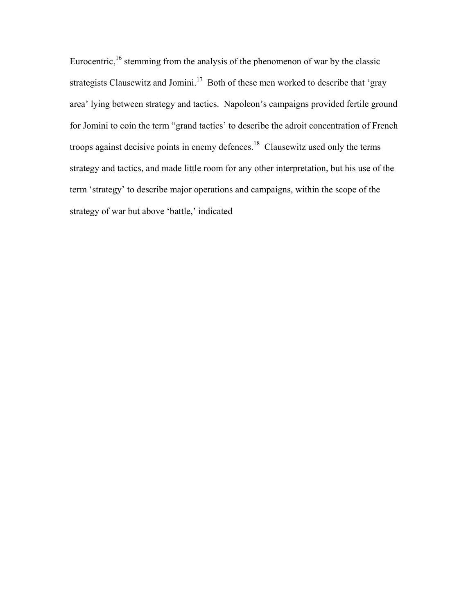Eurocentric,<sup>16</sup> stemming from the analysis of the phenomenon of war by the classic strategists Clausewitz and Jomini.<sup>17</sup> Both of these men worked to describe that 'gray area' lying between strategy and tactics. Napoleon's campaigns provided fertile ground for Jomini to coin the term "grand tactics' to describe the adroit concentration of French troops against decisive points in enemy defences.<sup>18</sup> Clausewitz used only the terms strategy and tactics, and made little room for any other interpretation, but his use of the term 'strategy' to describe major operations and campaigns, within the scope of the strategy of war but above 'battle,' indicated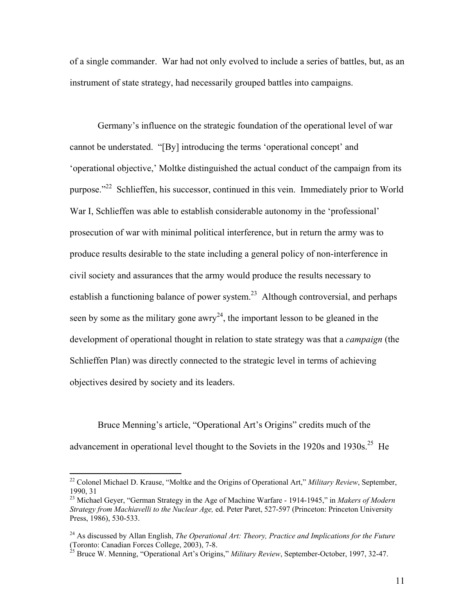of a single commander. War had not only evolved to include a series of battles, but, as an instrument of state strategy, had necessarily grouped battles into campaigns.

Germany's influence on the strategic foundation of the operational level of war cannot be understated. "[By] introducing the terms 'operational concept' and 'operational objective,' Moltke distinguished the actual conduct of the campaign from its purpose."<sup>22</sup> Schlieffen, his successor, continued in this vein. Immediately prior to World War I, Schlieffen was able to establish considerable autonomy in the 'professional' prosecution of war with minimal political interference, but in return the army was to produce results desirable to the state including a general policy of non-interference in civil society and assurances that the army would produce the results necessary to establish a functioning balance of power system.<sup>23</sup> Although controversial, and perhaps seen by some as the military gone awry<sup>24</sup>, the important lesson to be gleaned in the development of operational thought in relation to state strategy was that a *campaign* (the Schlieffen Plan) was directly connected to the strategic level in terms of achieving objectives desired by society and its leaders.

Bruce Menning's article, "Operational Art's Origins" credits much of the advancement in operational level thought to the Soviets in the 1920s and 1930s.<sup>25</sup> He

 <sup>22</sup> Colonel Michael D. Krause, "Moltke and the Origins of Operational Art," *Military Review*, September, 1990, 31 23 Michael Geyer, "German Strategy in the Age of Machine Warfare - 1914-1945," in *Makers of Modern*

*Strategy from Machiavelli to the Nuclear Age,* ed. Peter Paret, 527-597 (Princeton: Princeton University Press, 1986), 530-533.

<sup>24</sup> As discussed by Allan English, *The Operational Art: Theory, Practice and Implications for the Future* (Toronto: Canadian Forces College, 2003), 7-8. 25 Bruce W. Menning, "Operational Art's Origins," *Military Review*, September-October, 1997, 32-47.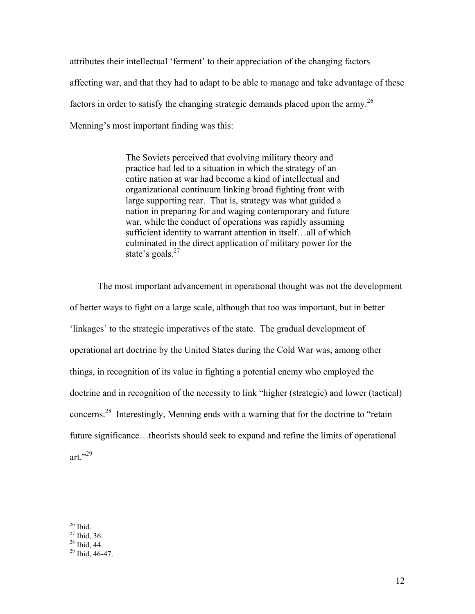attributes their intellectual 'ferment' to their appreciation of the changing factors affecting war, and that they had to adapt to be able to manage and take advantage of these factors in order to satisfy the changing strategic demands placed upon the army.<sup>26</sup> Menning's most important finding was this:

> The Soviets perceived that evolving military theory and practice had led to a situation in which the strategy of an entire nation at war had become a kind of intellectual and organizational continuum linking broad fighting front with large supporting rear. That is, strategy was what guided a nation in preparing for and waging contemporary and future war, while the conduct of operations was rapidly assuming sufficient identity to warrant attention in itself…all of which culminated in the direct application of military power for the state's goals.<sup>27</sup>

The most important advancement in operational thought was not the development of better ways to fight on a large scale, although that too was important, but in better 'linkages' to the strategic imperatives of the state. The gradual development of operational art doctrine by the United States during the Cold War was, among other things, in recognition of its value in fighting a potential enemy who employed the doctrine and in recognition of the necessity to link "higher (strategic) and lower (tactical) concerns.28 Interestingly, Menning ends with a warning that for the doctrine to "retain future significance…theorists should seek to expand and refine the limits of operational art.<sup>"29</sup>

 $^{26}$  Ibid.<br> $^{27}$  Ibid. 36.

 $^{28}$  Ibid, 44.<br> $^{29}$  Ibid, 46-47.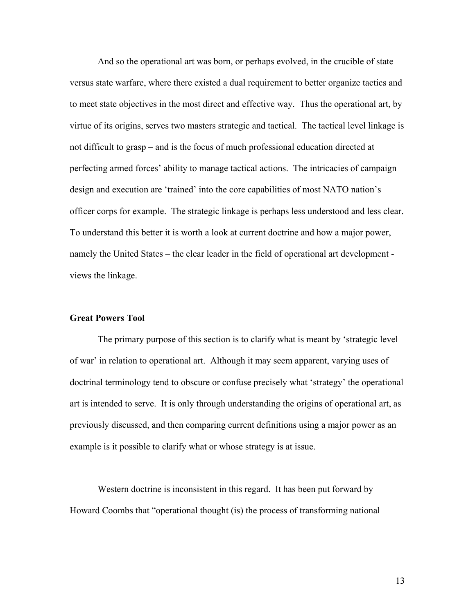And so the operational art was born, or perhaps evolved, in the crucible of state versus state warfare, where there existed a dual requirement to better organize tactics and to meet state objectives in the most direct and effective way. Thus the operational art, by virtue of its origins, serves two masters strategic and tactical. The tactical level linkage is not difficult to grasp – and is the focus of much professional education directed at perfecting armed forces' ability to manage tactical actions. The intricacies of campaign design and execution are 'trained' into the core capabilities of most NATO nation's officer corps for example. The strategic linkage is perhaps less understood and less clear. To understand this better it is worth a look at current doctrine and how a major power, namely the United States – the clear leader in the field of operational art development views the linkage.

#### **Great Powers Tool**

The primary purpose of this section is to clarify what is meant by 'strategic level of war' in relation to operational art. Although it may seem apparent, varying uses of doctrinal terminology tend to obscure or confuse precisely what 'strategy' the operational art is intended to serve. It is only through understanding the origins of operational art, as previously discussed, and then comparing current definitions using a major power as an example is it possible to clarify what or whose strategy is at issue.

Western doctrine is inconsistent in this regard. It has been put forward by Howard Coombs that "operational thought (is) the process of transforming national

13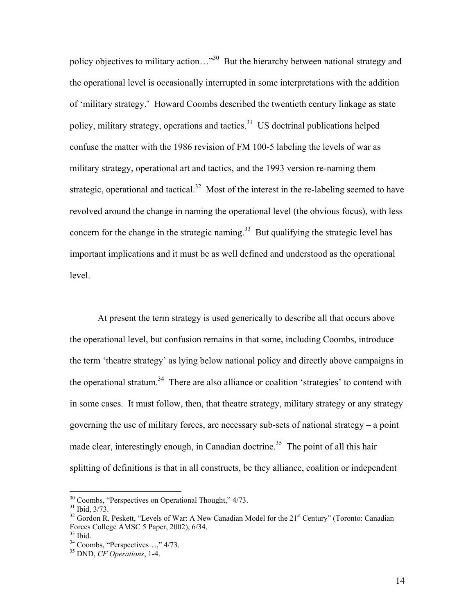policy objectives to military action..."<sup>30</sup> But the hierarchy between national strategy and the operational level is occasionally interrupted in some interpretations with the addition of 'military strategy.' Howard Coombs described the twentieth century linkage as state policy, military strategy, operations and tactics.<sup>31</sup> US doctrinal publications helped confuse the matter with the 1986 revision of FM 100-5 labeling the levels of war as military strategy, operational art and tactics, and the 1993 version re-naming them strategic, operational and tactical.<sup>32</sup> Most of the interest in the re-labeling seemed to have revolved around the change in naming the operational level (the obvious focus), with less concern for the change in the strategic naming.<sup>33</sup> But qualifying the strategic level has important implications and it must be as well defined and understood as the operational level.

At present the term strategy is used generically to describe all that occurs above the operational level, but confusion remains in that some, including Coombs, introduce the term 'theatre strategy' as lying below national policy and directly above campaigns in the operational stratum.<sup>34</sup> There are also alliance or coalition 'strategies' to contend with in some cases. It must follow, then, that theatre strategy, military strategy or any strategy governing the use of military forces, are necessary sub-sets of national strategy – a point made clear, interestingly enough, in Canadian doctrine.<sup>35</sup> The point of all this hair splitting of definitions is that in all constructs, be they alliance, coalition or independent

<sup>&</sup>lt;sup>30</sup> Coombs, "Perspectives on Operational Thought,"  $4/73$ .<br><sup>31</sup> Ibid,  $3/73$ .<br><sup>32</sup> Gordon R. Peskett, "Levels of War: A New Canadian Model for the 21<sup>st</sup> Century" (Toronto: Canadian Forces College AMSC 5 Paper, 2002), 6/34.<br><sup>33</sup> Ibid.<br><sup>34</sup> Coombs, "Perspectives...," 4/73.<br><sup>35</sup> DND, *CF Operations*, 1-4.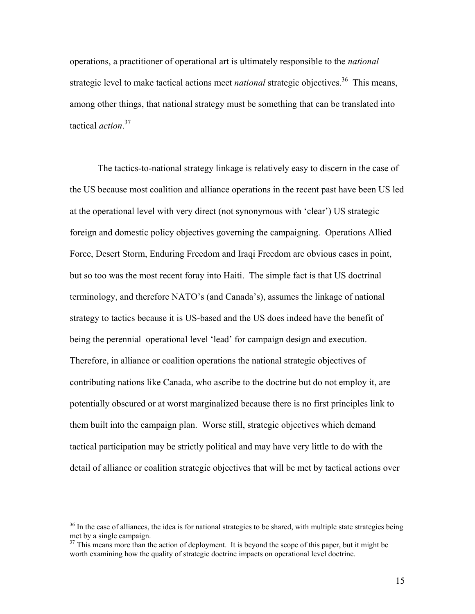operations, a practitioner of operational art is ultimately responsible to the *national* strategic level to make tactical actions meet *national* strategic objectives.<sup>36</sup> This means, among other things, that national strategy must be something that can be translated into tactical *action*. 37

The tactics-to-national strategy linkage is relatively easy to discern in the case of the US because most coalition and alliance operations in the recent past have been US led at the operational level with very direct (not synonymous with 'clear') US strategic foreign and domestic policy objectives governing the campaigning. Operations Allied Force, Desert Storm, Enduring Freedom and Iraqi Freedom are obvious cases in point, but so too was the most recent foray into Haiti. The simple fact is that US doctrinal terminology, and therefore NATO's (and Canada's), assumes the linkage of national strategy to tactics because it is US-based and the US does indeed have the benefit of being the perennial operational level 'lead' for campaign design and execution. Therefore, in alliance or coalition operations the national strategic objectives of contributing nations like Canada, who ascribe to the doctrine but do not employ it, are potentially obscured or at worst marginalized because there is no first principles link to them built into the campaign plan. Worse still, strategic objectives which demand tactical participation may be strictly political and may have very little to do with the detail of alliance or coalition strategic objectives that will be met by tactical actions over

 $36$  In the case of alliances, the idea is for national strategies to be shared, with multiple state strategies being met by a single campaign.

 $37$  This means more than the action of deployment. It is beyond the scope of this paper, but it might be worth examining how the quality of strategic doctrine impacts on operational level doctrine.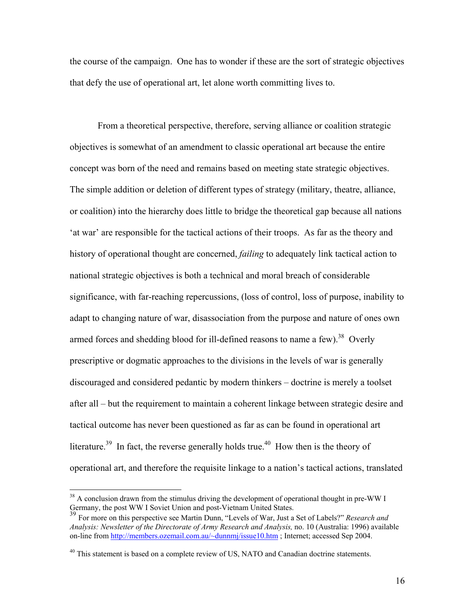the course of the campaign. One has to wonder if these are the sort of strategic objectives that defy the use of operational art, let alone worth committing lives to.

From a theoretical perspective, therefore, serving alliance or coalition strategic objectives is somewhat of an amendment to classic operational art because the entire concept was born of the need and remains based on meeting state strategic objectives. The simple addition or deletion of different types of strategy (military, theatre, alliance, or coalition) into the hierarchy does little to bridge the theoretical gap because all nations 'at war' are responsible for the tactical actions of their troops. As far as the theory and history of operational thought are concerned, *failing* to adequately link tactical action to national strategic objectives is both a technical and moral breach of considerable significance, with far-reaching repercussions, (loss of control, loss of purpose, inability to adapt to changing nature of war, disassociation from the purpose and nature of ones own armed forces and shedding blood for ill-defined reasons to name a few).<sup>38</sup> Overly prescriptive or dogmatic approaches to the divisions in the levels of war is generally discouraged and considered pedantic by modern thinkers – doctrine is merely a toolset after all – but the requirement to maintain a coherent linkage between strategic desire and tactical outcome has never been questioned as far as can be found in operational art literature.<sup>39</sup> In fact, the reverse generally holds true.<sup>40</sup> How then is the theory of operational art, and therefore the requisite linkage to a nation's tactical actions, translated

<sup>&</sup>lt;sup>38</sup> A conclusion drawn from the stimulus driving the development of operational thought in pre-WW I Germany, the post WW I Soviet Union and post-Vietnam United States.

<sup>39</sup> For more on this perspective see Martin Dunn, "Levels of War, Just a Set of Labels?" *Research and Analysis: Newsletter of the Directorate of Army Research and Analysis,* no. 10 (Australia: 1996) available on-line from http://members.ozemail.com.au/~dunnmj/issue10.htm ; Internet; accessed Sep 2004.

<sup>&</sup>lt;sup>40</sup> This statement is based on a complete review of US, NATO and Canadian doctrine statements.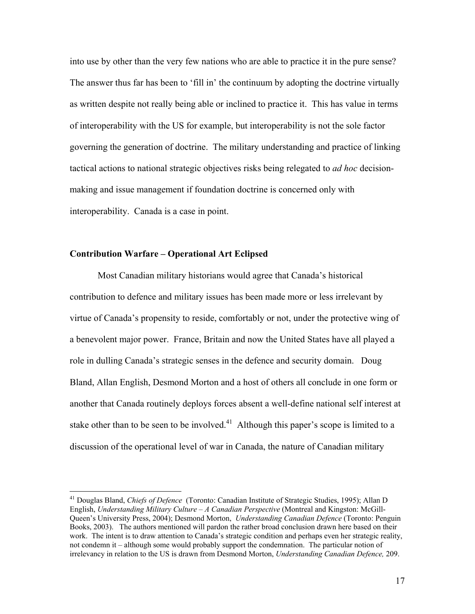into use by other than the very few nations who are able to practice it in the pure sense? The answer thus far has been to 'fill in' the continuum by adopting the doctrine virtually as written despite not really being able or inclined to practice it. This has value in terms of interoperability with the US for example, but interoperability is not the sole factor governing the generation of doctrine. The military understanding and practice of linking tactical actions to national strategic objectives risks being relegated to *ad hoc* decisionmaking and issue management if foundation doctrine is concerned only with interoperability. Canada is a case in point.

## **Contribution Warfare – Operational Art Eclipsed**

Most Canadian military historians would agree that Canada's historical contribution to defence and military issues has been made more or less irrelevant by virtue of Canada's propensity to reside, comfortably or not, under the protective wing of a benevolent major power. France, Britain and now the United States have all played a role in dulling Canada's strategic senses in the defence and security domain. Doug Bland, Allan English, Desmond Morton and a host of others all conclude in one form or another that Canada routinely deploys forces absent a well-define national self interest at stake other than to be seen to be involved.<sup>41</sup> Although this paper's scope is limited to a discussion of the operational level of war in Canada, the nature of Canadian military

 <sup>41</sup> Douglas Bland, *Chiefs of Defence* (Toronto: Canadian Institute of Strategic Studies, 1995); Allan <sup>D</sup> English, *Understanding Military Culture – A Canadian Perspective* (Montreal and Kingston: McGill-Queen's University Press, 2004); Desmond Morton, *Understanding Canadian Defence* (Toronto: Penguin Books, 2003). The authors mentioned will pardon the rather broad conclusion drawn here based on their work. The intent is to draw attention to Canada's strategic condition and perhaps even her strategic reality, not condemn it – although some would probably support the condemnation. The particular notion of irrelevancy in relation to the US is drawn from Desmond Morton, *Understanding Canadian Defence,* 209.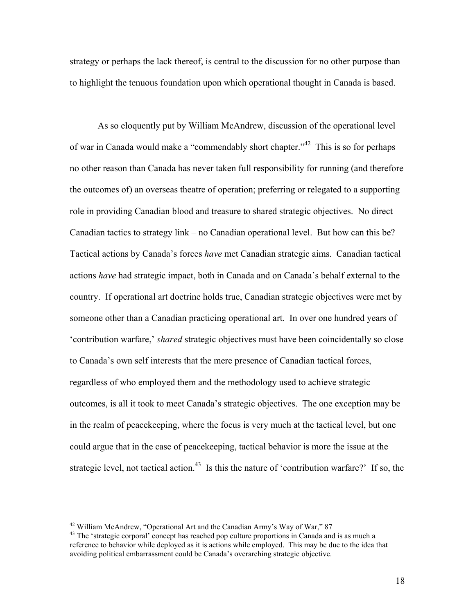strategy or perhaps the lack thereof, is central to the discussion for no other purpose than to highlight the tenuous foundation upon which operational thought in Canada is based.

As so eloquently put by William McAndrew, discussion of the operational level of war in Canada would make a "commendably short chapter."<sup>42</sup> This is so for perhaps no other reason than Canada has never taken full responsibility for running (and therefore the outcomes of) an overseas theatre of operation; preferring or relegated to a supporting role in providing Canadian blood and treasure to shared strategic objectives. No direct Canadian tactics to strategy link – no Canadian operational level. But how can this be? Tactical actions by Canada's forces *have* met Canadian strategic aims. Canadian tactical actions *have* had strategic impact, both in Canada and on Canada's behalf external to the country. If operational art doctrine holds true, Canadian strategic objectives were met by someone other than a Canadian practicing operational art. In over one hundred years of 'contribution warfare,' *shared* strategic objectives must have been coincidentally so close to Canada's own self interests that the mere presence of Canadian tactical forces, regardless of who employed them and the methodology used to achieve strategic outcomes, is all it took to meet Canada's strategic objectives. The one exception may be in the realm of peacekeeping, where the focus is very much at the tactical level, but one could argue that in the case of peacekeeping, tactical behavior is more the issue at the strategic level, not tactical action.<sup>43</sup> Is this the nature of 'contribution warfare?' If so, the

<sup>&</sup>lt;sup>42</sup> William McAndrew, "Operational Art and the Canadian Army's Way of War," 87<br><sup>43</sup> The 'strategic corporal' concept has reached pop culture proportions in Canada and is as much a

reference to behavior while deployed as it is actions while employed. This may be due to the idea that avoiding political embarrassment could be Canada's overarching strategic objective.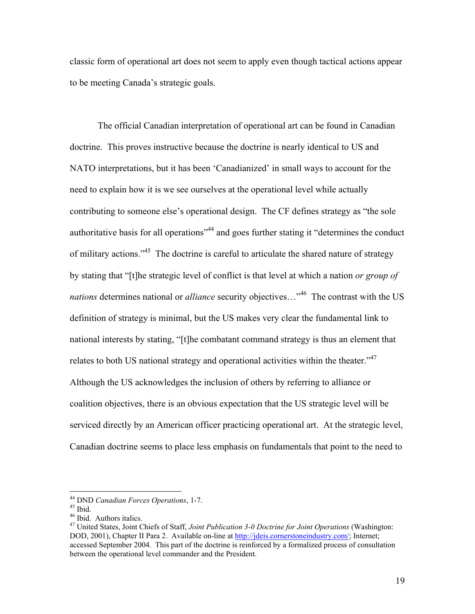classic form of operational art does not seem to apply even though tactical actions appear to be meeting Canada's strategic goals.

The official Canadian interpretation of operational art can be found in Canadian doctrine. This proves instructive because the doctrine is nearly identical to US and NATO interpretations, but it has been 'Canadianized' in small ways to account for the need to explain how it is we see ourselves at the operational level while actually contributing to someone else's operational design. The CF defines strategy as "the sole authoritative basis for all operations<sup>"44</sup> and goes further stating it "determines the conduct" of military actions."<sup>45</sup> The doctrine is careful to articulate the shared nature of strategy by stating that "[t]he strategic level of conflict is that level at which a nation *or group of nations* determines national or *alliance* security objectives...<sup>46</sup> The contrast with the US definition of strategy is minimal, but the US makes very clear the fundamental link to national interests by stating, "[t]he combatant command strategy is thus an element that relates to both US national strategy and operational activities within the theater.<sup> $347$ </sup> Although the US acknowledges the inclusion of others by referring to alliance or coalition objectives, there is an obvious expectation that the US strategic level will be serviced directly by an American officer practicing operational art. At the strategic level, Canadian doctrine seems to place less emphasis on fundamentals that point to the need to

 <sup>44</sup> DND *Canadian Forces Operations*, 1-7. 45 Ibid.

<sup>&</sup>lt;sup>47</sup> United States, Joint Chiefs of Staff, *Joint Publication 3-0 Doctrine for Joint Operations* (Washington: DOD, 2001), Chapter II Para 2. Available on-line at http://jdeis.cornerstoneindustry.com/; Internet; accessed September 2004. This part of the doctrine is reinforced by a formalized process of consultation between the operational level commander and the President.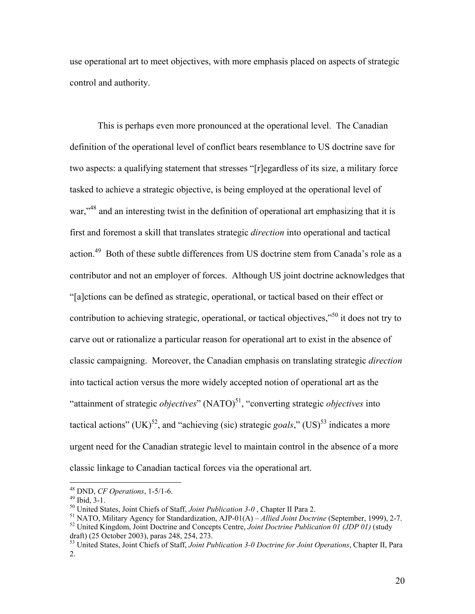use operational art to meet objectives, with more emphasis placed on aspects of strategic control and authority.

This is perhaps even more pronounced at the operational level. The Canadian definition of the operational level of conflict bears resemblance to US doctrine save for two aspects: a qualifying statement that stresses "[r]egardless of its size, a military force tasked to achieve a strategic objective, is being employed at the operational level of war,<sup>348</sup> and an interesting twist in the definition of operational art emphasizing that it is first and foremost a skill that translates strategic *direction* into operational and tactical action.<sup>49</sup> Both of these subtle differences from US doctrine stem from Canada's role as a contributor and not an employer of forces. Although US joint doctrine acknowledges that "[a]ctions can be defined as strategic, operational, or tactical based on their effect or contribution to achieving strategic, operational, or tactical objectives,"50 it does not try to carve out or rationalize a particular reason for operational art to exist in the absence of classic campaigning. Moreover, the Canadian emphasis on translating strategic *direction* into tactical action versus the more widely accepted notion of operational art as the "attainment of strategic *objectives*" (NATO)<sup>51</sup>, "converting strategic *objectives* into tactical actions" (UK)<sup>52</sup>, and "achieving (sic) strategic *goals*," (US)<sup>53</sup> indicates a more urgent need for the Canadian strategic level to maintain control in the absence of a more classic linkage to Canadian tactical forces via the operational art.

<sup>&</sup>lt;sup>48</sup> DND, *CF Operations*, 1-5/1-6.<br><sup>49</sup> Ibid, 3-1.<br><sup>50</sup> United States, Joint Chiefs of Staff, *Joint Publication 3-0*, Chapter II Para 2.<br><sup>51</sup> NATO, Military Agency for Standardization, AJP-01(A) – *Allied Joint Doctrine* 

<sup>53</sup> United States, Joint Chiefs of Staff, *Joint Publication 3-0 Doctrine for Joint Operations*, Chapter II, Para 2.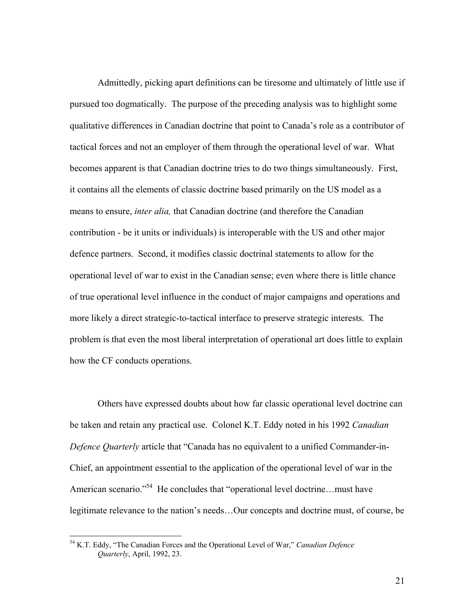Admittedly, picking apart definitions can be tiresome and ultimately of little use if pursued too dogmatically. The purpose of the preceding analysis was to highlight some qualitative differences in Canadian doctrine that point to Canada's role as a contributor of tactical forces and not an employer of them through the operational level of war. What becomes apparent is that Canadian doctrine tries to do two things simultaneously. First, it contains all the elements of classic doctrine based primarily on the US model as a means to ensure, *inter alia,* that Canadian doctrine (and therefore the Canadian contribution - be it units or individuals) is interoperable with the US and other major defence partners. Second, it modifies classic doctrinal statements to allow for the operational level of war to exist in the Canadian sense; even where there is little chance of true operational level influence in the conduct of major campaigns and operations and more likely a direct strategic-to-tactical interface to preserve strategic interests. The problem is that even the most liberal interpretation of operational art does little to explain how the CF conducts operations.

Others have expressed doubts about how far classic operational level doctrine can be taken and retain any practical use. Colonel K.T. Eddy noted in his 1992 *Canadian Defence Quarterly* article that "Canada has no equivalent to a unified Commander-in-Chief, an appointment essential to the application of the operational level of war in the American scenario."<sup>54</sup> He concludes that "operational level doctrine...must have legitimate relevance to the nation's needs…Our concepts and doctrine must, of course, be

 <sup>54</sup> K.T. Eddy, "The Canadian Forces and the Operational Level of War," *Canadian Defence Quarterly*, April, 1992, 23.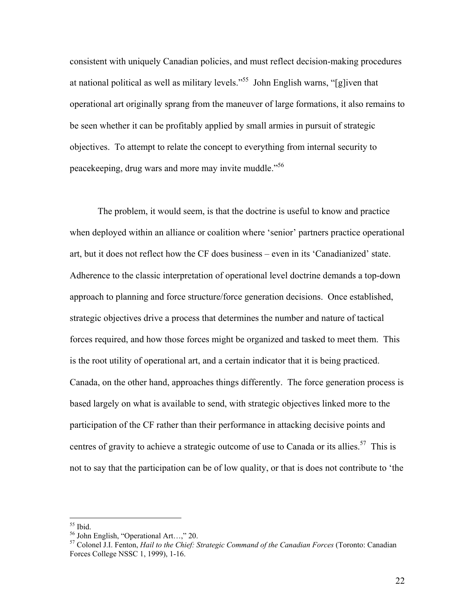consistent with uniquely Canadian policies, and must reflect decision-making procedures at national political as well as military levels."<sup>55</sup> John English warns, "[g]iven that operational art originally sprang from the maneuver of large formations, it also remains to be seen whether it can be profitably applied by small armies in pursuit of strategic objectives. To attempt to relate the concept to everything from internal security to peacekeeping, drug wars and more may invite muddle."56

The problem, it would seem, is that the doctrine is useful to know and practice when deployed within an alliance or coalition where 'senior' partners practice operational art, but it does not reflect how the CF does business – even in its 'Canadianized' state. Adherence to the classic interpretation of operational level doctrine demands a top-down approach to planning and force structure/force generation decisions. Once established, strategic objectives drive a process that determines the number and nature of tactical forces required, and how those forces might be organized and tasked to meet them. This is the root utility of operational art, and a certain indicator that it is being practiced. Canada, on the other hand, approaches things differently. The force generation process is based largely on what is available to send, with strategic objectives linked more to the participation of the CF rather than their performance in attacking decisive points and centres of gravity to achieve a strategic outcome of use to Canada or its allies.<sup>57</sup> This is not to say that the participation can be of low quality, or that is does not contribute to 'the

<sup>&</sup>lt;sup>55</sup> Ibid.<br><sup>56</sup> John English, "Operational Art...," 20.

<sup>&</sup>lt;sup>57</sup> Colonel J.I. Fenton, *Hail to the Chief: Strategic Command of the Canadian Forces* (Toronto: Canadian Forces College NSSC 1, 1999), 1-16.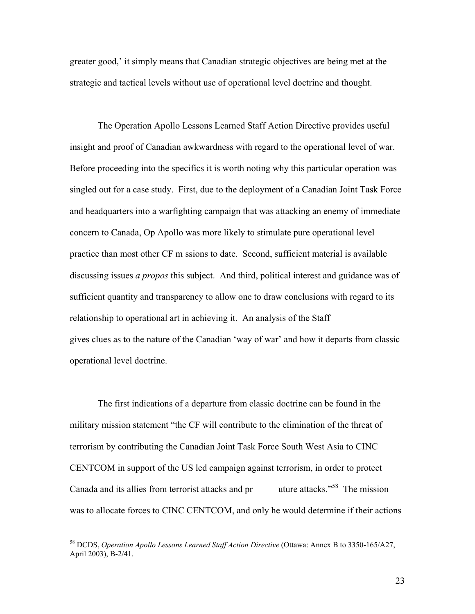greater good,' it simply means that Canadian strategic objectives are being met at the strategic and tactical levels without use of operational level doctrine and thought.

The Operation Apollo Lessons Learned Staff Action Directive provides useful insight and proof of Canadian awkwardness with regard to the operational level of war. Before proceeding into the specifics it is worth noting why this particular operation was singled out for a case study. First, due to the deployment of a Canadian Joint Task Force and headquarters into a warfighting campaign that was attacking an enemy of immediate concern to Canada, Op Apollo was more likely to stimulate pure operational level practice than most other CF m ssions to date. Second, sufficient material is available discussing issues *a propos* this subject. And third, political interest and guidance was of sufficient quantity and transparency to allow one to draw conclusions with regard to its relationship to operational art in achieving it. An analysis of the Staff gives clues as to the nature of the Canadian 'way of war' and how it departs from classic operational level doctrine.

The first indications of a departure from classic doctrine can be found in the military mission statement "the CF will contribute to the elimination of the threat of terrorism by contributing the Canadian Joint Task Force South West Asia to CINC CENTCOM in support of the US led campaign against terrorism, in order to protect Canada and its allies from terrorist attacks and pr  $\qquad$  uture attacks."<sup>58</sup> The mission was to allocate forces to CINC CENTCOM, and only he would determine if their actions

 <sup>58</sup> DCDS, *Operation Apollo Lessons Learned Staff Action Directive* (Ottawa: Annex B to 3350-165/A27, April 2003), B-2/41.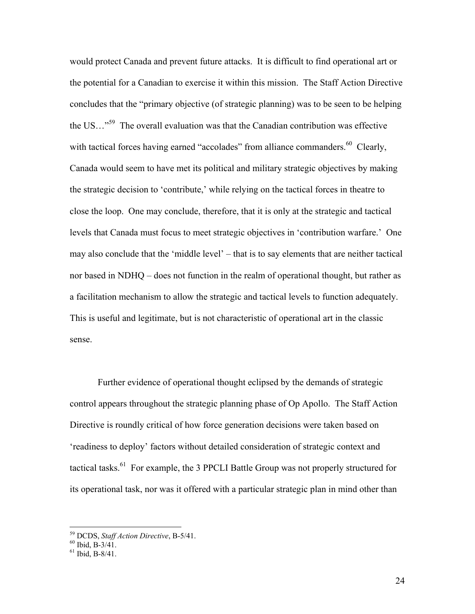would protect Canada and prevent future attacks. It is difficult to find operational art or the potential for a Canadian to exercise it within this mission. The Staff Action Directive concludes that the "primary objective (of strategic planning) was to be seen to be helping the US…"59 The overall evaluation was that the Canadian contribution was effective with tactical forces having earned "accolades" from alliance commanders. <sup>60</sup> Clearly, Canada would seem to have met its political and military strategic objectives by making the strategic decision to 'contribute,' while relying on the tactical forces in theatre to close the loop. One may conclude, therefore, that it is only at the strategic and tactical levels that Canada must focus to meet strategic objectives in 'contribution warfare.' One may also conclude that the 'middle level' – that is to say elements that are neither tactical nor based in NDHQ – does not function in the realm of operational thought, but rather as a facilitation mechanism to allow the strategic and tactical levels to function adequately. This is useful and legitimate, but is not characteristic of operational art in the classic sense.

Further evidence of operational thought eclipsed by the demands of strategic control appears throughout the strategic planning phase of Op Apollo. The Staff Action Directive is roundly critical of how force generation decisions were taken based on 'readiness to deploy' factors without detailed consideration of strategic context and tactical tasks.<sup>61</sup> For example, the 3 PPCLI Battle Group was not properly structured for its operational task, nor was it offered with a particular strategic plan in mind other than

 <sup>59</sup> DCDS, *Staff Action Directive*, B-5/41. 60 Ibid, B-3/41. 61 Ibid, B-8/41.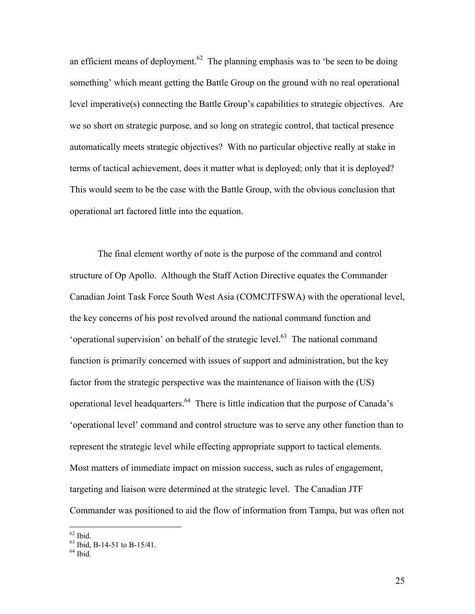an efficient means of deployment.<sup>62</sup> The planning emphasis was to 'be seen to be doing something' which meant getting the Battle Group on the ground with no real operational level imperative(s) connecting the Battle Group's capabilities to strategic objectives. Are we so short on strategic purpose, and so long on strategic control, that tactical presence automatically meets strategic objectives? With no particular objective really at stake in terms of tactical achievement, does it matter what is deployed; only that it is deployed? This would seem to be the case with the Battle Group, with the obvious conclusion that operational art factored little into the equation.

The final element worthy of note is the purpose of the command and control structure of Op Apollo. Although the Staff Action Directive equates the Commander Canadian Joint Task Force South West Asia (COMCJTFSWA) with the operational level, the key concerns of his post revolved around the national command function and 'operational supervision' on behalf of the strategic level. $^{63}$  The national command function is primarily concerned with issues of support and administration, but the key factor from the strategic perspective was the maintenance of liaison with the (US) operational level headquarters.<sup>64</sup> There is little indication that the purpose of Canada's 'operational level' command and control structure was to serve any other function than to represent the strategic level while effecting appropriate support to tactical elements. Most matters of immediate impact on mission success, such as rules of engagement, targeting and liaison were determined at the strategic level. The Canadian JTF Commander was positioned to aid the flow of information from Tampa, but was often not

 $62$  Ibid.

 $^{63}$  Ibid, B-14-51 to B-15/41.<br> $^{64}$  Ibid.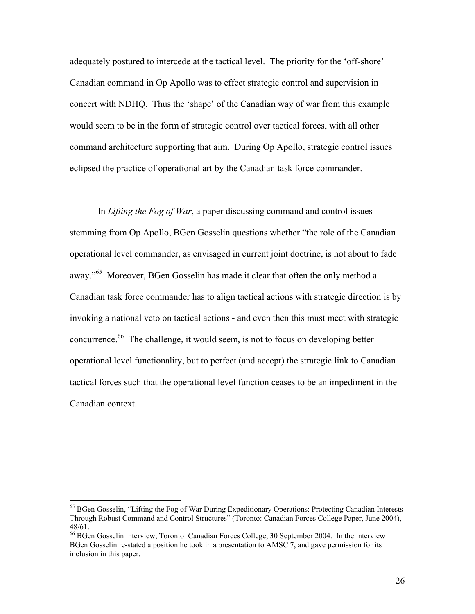adequately postured to intercede at the tactical level. The priority for the 'off-shore' Canadian command in Op Apollo was to effect strategic control and supervision in concert with NDHQ. Thus the 'shape' of the Canadian way of war from this example would seem to be in the form of strategic control over tactical forces, with all other command architecture supporting that aim. During Op Apollo, strategic control issues eclipsed the practice of operational art by the Canadian task force commander.

In *Lifting the Fog of War*, a paper discussing command and control issues stemming from Op Apollo, BGen Gosselin questions whether "the role of the Canadian operational level commander, as envisaged in current joint doctrine, is not about to fade away."<sup>65</sup> Moreover, BGen Gosselin has made it clear that often the only method a Canadian task force commander has to align tactical actions with strategic direction is by invoking a national veto on tactical actions - and even then this must meet with strategic concurrence.66 The challenge, it would seem, is not to focus on developing better operational level functionality, but to perfect (and accept) the strategic link to Canadian tactical forces such that the operational level function ceases to be an impediment in the Canadian context.

<sup>&</sup>lt;sup>65</sup> BGen Gosselin, "Lifting the Fog of War During Expeditionary Operations: Protecting Canadian Interests Through Robust Command and Control Structures" (Toronto: Canadian Forces College Paper, June 2004),

<sup>&</sup>lt;sup>66</sup> BGen Gosselin interview, Toronto: Canadian Forces College, 30 September 2004. In the interview BGen Gosselin re-stated a position he took in a presentation to AMSC 7, and gave permission for its inclusion in this paper.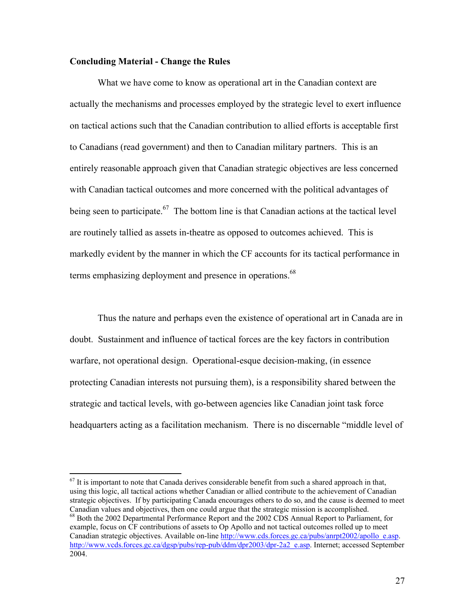## **Concluding Material - Change the Rules**

What we have come to know as operational art in the Canadian context are actually the mechanisms and processes employed by the strategic level to exert influence on tactical actions such that the Canadian contribution to allied efforts is acceptable first to Canadians (read government) and then to Canadian military partners. This is an entirely reasonable approach given that Canadian strategic objectives are less concerned with Canadian tactical outcomes and more concerned with the political advantages of being seen to participate.<sup>67</sup> The bottom line is that Canadian actions at the tactical level are routinely tallied as assets in-theatre as opposed to outcomes achieved. This is markedly evident by the manner in which the CF accounts for its tactical performance in terms emphasizing deployment and presence in operations.<sup>68</sup>

Thus the nature and perhaps even the existence of operational art in Canada are in doubt. Sustainment and influence of tactical forces are the key factors in contribution warfare, not operational design. Operational-esque decision-making, (in essence protecting Canadian interests not pursuing them), is a responsibility shared between the strategic and tactical levels, with go-between agencies like Canadian joint task force headquarters acting as a facilitation mechanism. There is no discernable "middle level of

 $67$  It is important to note that Canada derives considerable benefit from such a shared approach in that, using this logic, all tactical actions whether Canadian or allied contribute to the achievement of Canadian strategic objectives. If by participating Canada encourages others to do so, and the cause is deemed to meet Canadian values and objectives, then one could argue that the strategic mission is accomplished.

<sup>&</sup>lt;sup>68</sup> Both the 2002 Departmental Performance Report and the 2002 CDS Annual Report to Parliament, for example, focus on CF contributions of assets to Op Apollo and not tactical outcomes rolled up to meet Canadian strategic objectives. Available on-line http://www.cds.forces.gc.ca/pubs/anrpt2002/apollo\_e.asp. http://www.vcds.forces.gc.ca/dgsp/pubs/rep-pub/ddm/dpr2003/dpr-2a2\_e.asp. Internet; accessed September 2004.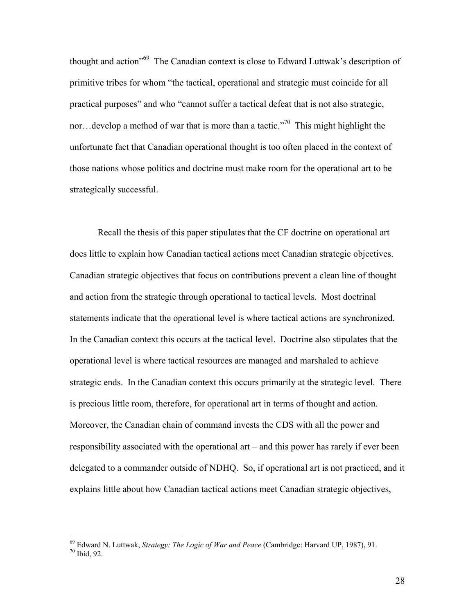thought and action"69 The Canadian context is close to Edward Luttwak's description of primitive tribes for whom "the tactical, operational and strategic must coincide for all practical purposes" and who "cannot suffer a tactical defeat that is not also strategic, nor...develop a method of war that is more than a tactic."<sup>70</sup> This might highlight the unfortunate fact that Canadian operational thought is too often placed in the context of those nations whose politics and doctrine must make room for the operational art to be strategically successful.

Recall the thesis of this paper stipulates that the CF doctrine on operational art does little to explain how Canadian tactical actions meet Canadian strategic objectives. Canadian strategic objectives that focus on contributions prevent a clean line of thought and action from the strategic through operational to tactical levels. Most doctrinal statements indicate that the operational level is where tactical actions are synchronized. In the Canadian context this occurs at the tactical level. Doctrine also stipulates that the operational level is where tactical resources are managed and marshaled to achieve strategic ends. In the Canadian context this occurs primarily at the strategic level. There is precious little room, therefore, for operational art in terms of thought and action. Moreover, the Canadian chain of command invests the CDS with all the power and responsibility associated with the operational art – and this power has rarely if ever been delegated to a commander outside of NDHQ. So, if operational art is not practiced, and it explains little about how Canadian tactical actions meet Canadian strategic objectives,

 <sup>69</sup> Edward N. Luttwak, *Strategy: The Logic of War and Peace* (Cambridge: Harvard UP, 1987), 91. 70 Ibid, 92.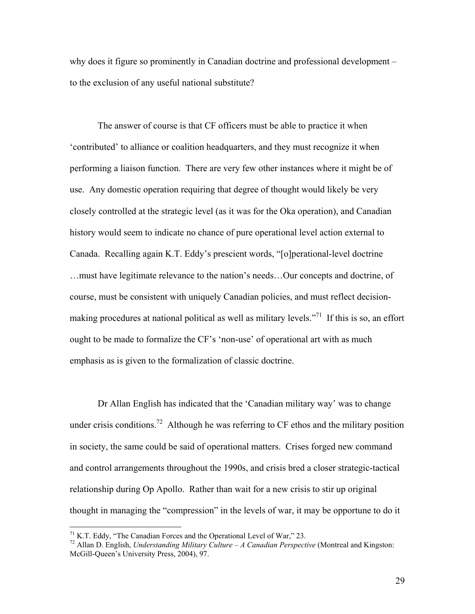why does it figure so prominently in Canadian doctrine and professional development – to the exclusion of any useful national substitute?

The answer of course is that CF officers must be able to practice it when 'contributed' to alliance or coalition headquarters, and they must recognize it when performing a liaison function. There are very few other instances where it might be of use. Any domestic operation requiring that degree of thought would likely be very closely controlled at the strategic level (as it was for the Oka operation), and Canadian history would seem to indicate no chance of pure operational level action external to Canada. Recalling again K.T. Eddy's prescient words, "[o]perational-level doctrine …must have legitimate relevance to the nation's needs…Our concepts and doctrine, of course, must be consistent with uniquely Canadian policies, and must reflect decisionmaking procedures at national political as well as military levels.<sup> $271$ </sup> If this is so, an effort ought to be made to formalize the CF's 'non-use' of operational art with as much emphasis as is given to the formalization of classic doctrine.

Dr Allan English has indicated that the 'Canadian military way' was to change under crisis conditions.<sup>72</sup> Although he was referring to CF ethos and the military position in society, the same could be said of operational matters. Crises forged new command and control arrangements throughout the 1990s, and crisis bred a closer strategic-tactical relationship during Op Apollo. Rather than wait for a new crisis to stir up original thought in managing the "compression" in the levels of war, it may be opportune to do it

 <sup>71</sup> K.T. Eddy, "The Canadian Forces and the Operational Level of War," 23. 72 Allan D. English, *Understanding Military Culture – A Canadian Perspective* (Montreal and Kingston: McGill-Queen's University Press, 2004), 97.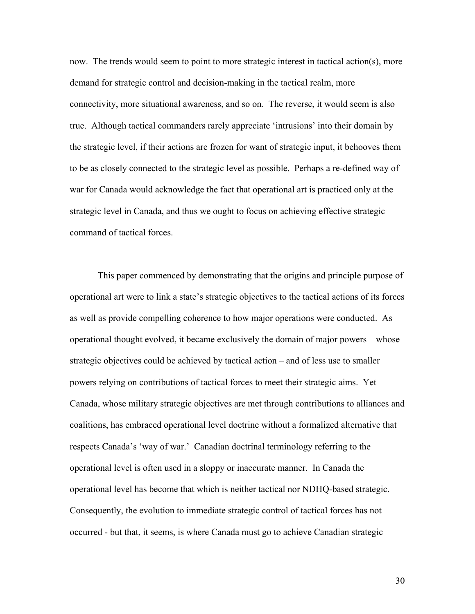now. The trends would seem to point to more strategic interest in tactical action(s), more demand for strategic control and decision-making in the tactical realm, more connectivity, more situational awareness, and so on. The reverse, it would seem is also true. Although tactical commanders rarely appreciate 'intrusions' into their domain by the strategic level, if their actions are frozen for want of strategic input, it behooves them to be as closely connected to the strategic level as possible. Perhaps a re-defined way of war for Canada would acknowledge the fact that operational art is practiced only at the strategic level in Canada, and thus we ought to focus on achieving effective strategic command of tactical forces.

This paper commenced by demonstrating that the origins and principle purpose of operational art were to link a state's strategic objectives to the tactical actions of its forces as well as provide compelling coherence to how major operations were conducted. As operational thought evolved, it became exclusively the domain of major powers – whose strategic objectives could be achieved by tactical action – and of less use to smaller powers relying on contributions of tactical forces to meet their strategic aims. Yet Canada, whose military strategic objectives are met through contributions to alliances and coalitions, has embraced operational level doctrine without a formalized alternative that respects Canada's 'way of war.' Canadian doctrinal terminology referring to the operational level is often used in a sloppy or inaccurate manner. In Canada the operational level has become that which is neither tactical nor NDHQ-based strategic. Consequently, the evolution to immediate strategic control of tactical forces has not occurred - but that, it seems, is where Canada must go to achieve Canadian strategic

30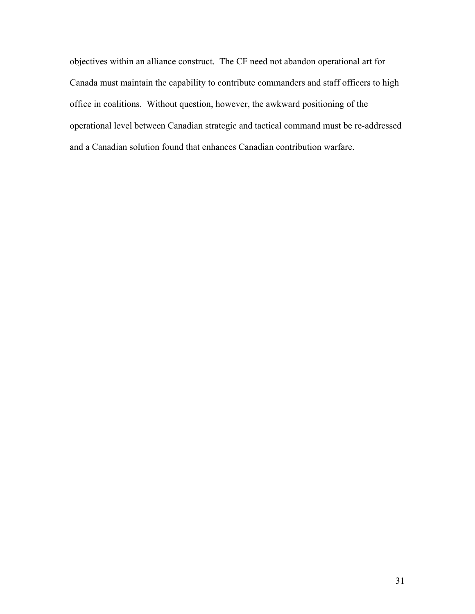objectives within an alliance construct. The CF need not abandon operational art for Canada must maintain the capability to contribute commanders and staff officers to high office in coalitions. Without question, however, the awkward positioning of the operational level between Canadian strategic and tactical command must be re-addressed and a Canadian solution found that enhances Canadian contribution warfare.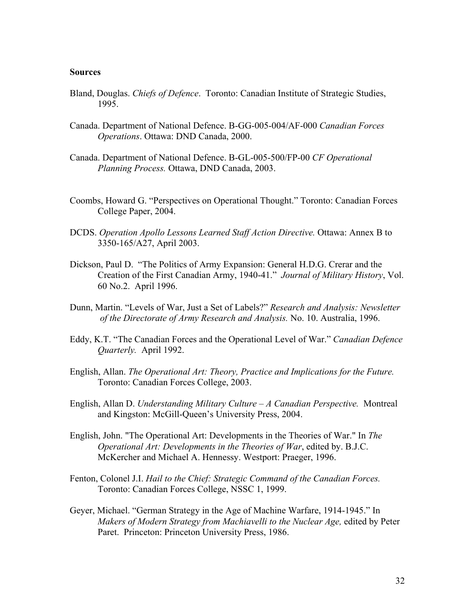### **Sources**

- Bland, Douglas. *Chiefs of Defence*. Toronto: Canadian Institute of Strategic Studies, 1995.
- Canada. Department of National Defence. B-GG-005-004/AF-000 *Canadian Forces Operations*. Ottawa: DND Canada, 2000.
- Canada. Department of National Defence. B-GL-005-500/FP-00 *CF Operational Planning Process.* Ottawa, DND Canada, 2003.
- Coombs, Howard G. "Perspectives on Operational Thought." Toronto: Canadian Forces College Paper, 2004.
- DCDS. *Operation Apollo Lessons Learned Staff Action Directive.* Ottawa: Annex B to 3350-165/A27, April 2003.
- Dickson, Paul D. "The Politics of Army Expansion: General H.D.G. Crerar and the Creation of the First Canadian Army, 1940-41." *Journal of Military History*, Vol. 60 No.2. April 1996.
- Dunn, Martin. "Levels of War, Just a Set of Labels?" *Research and Analysis: Newsletter of the Directorate of Army Research and Analysis.* No. 10. Australia, 1996.
- Eddy, K.T. "The Canadian Forces and the Operational Level of War." *Canadian Defence Quarterly.* April 1992.
- English, Allan. *The Operational Art: Theory, Practice and Implications for the Future.* Toronto: Canadian Forces College, 2003.
- English, Allan D. *Understanding Military Culture A Canadian Perspective.* Montreal and Kingston: McGill-Queen's University Press, 2004.
- English, John. "The Operational Art: Developments in the Theories of War." In *The Operational Art: Developments in the Theories of War*, edited by. B.J.C. McKercher and Michael A. Hennessy. Westport: Praeger, 1996.
- Fenton, Colonel J.I. *Hail to the Chief: Strategic Command of the Canadian Forces.* Toronto: Canadian Forces College, NSSC 1, 1999.
- Geyer, Michael. "German Strategy in the Age of Machine Warfare, 1914-1945." In *Makers of Modern Strategy from Machiavelli to the Nuclear Age,* edited by Peter Paret. Princeton: Princeton University Press, 1986.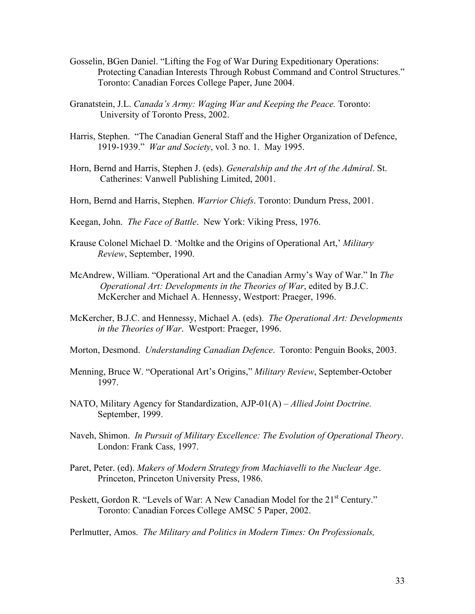- Gosselin, BGen Daniel. "Lifting the Fog of War During Expeditionary Operations: Protecting Canadian Interests Through Robust Command and Control Structures." Toronto: Canadian Forces College Paper, June 2004.
- Granatstein, J.L. *Canada's Army: Waging War and Keeping the Peace.* Toronto: University of Toronto Press, 2002.
- Harris, Stephen. "The Canadian General Staff and the Higher Organization of Defence, 1919-1939." *War and Society*, vol. 3 no. 1. May 1995.
- Horn, Bernd and Harris, Stephen J. (eds). *Generalship and the Art of the Admiral*. St. Catherines: Vanwell Publishing Limited, 2001.
- Horn, Bernd and Harris, Stephen. *Warrior Chiefs*. Toronto: Dundurn Press, 2001.
- Keegan, John. *The Face of Battle*. New York: Viking Press, 1976.
- Krause Colonel Michael D. 'Moltke and the Origins of Operational Art,' *Military Review*, September, 1990.
- McAndrew, William. "Operational Art and the Canadian Army's Way of War." In *The Operational Art: Developments in the Theories of War*, edited by B.J.C. McKercher and Michael A. Hennessy, Westport: Praeger, 1996.
- McKercher, B.J.C. and Hennessy, Michael A. (eds). *The Operational Art: Developments in the Theories of War*. Westport: Praeger, 1996.
- Morton, Desmond. *Understanding Canadian Defence*. Toronto: Penguin Books, 2003.
- Menning, Bruce W. "Operational Art's Origins," *Military Review*, September-October 1997.
- NATO, Military Agency for Standardization, AJP-01(A) *Allied Joint Doctrine.*  September, 1999.
- Naveh, Shimon. *In Pursuit of Military Excellence: The Evolution of Operational Theory*. London: Frank Cass, 1997.
- Paret, Peter. (ed). *Makers of Modern Strategy from Machiavelli to the Nuclear Age*. Princeton, Princeton University Press, 1986.
- Peskett, Gordon R. "Levels of War: A New Canadian Model for the 21<sup>st</sup> Century." Toronto: Canadian Forces College AMSC 5 Paper, 2002.

Perlmutter, Amos. *The Military and Politics in Modern Times: On Professionals,*